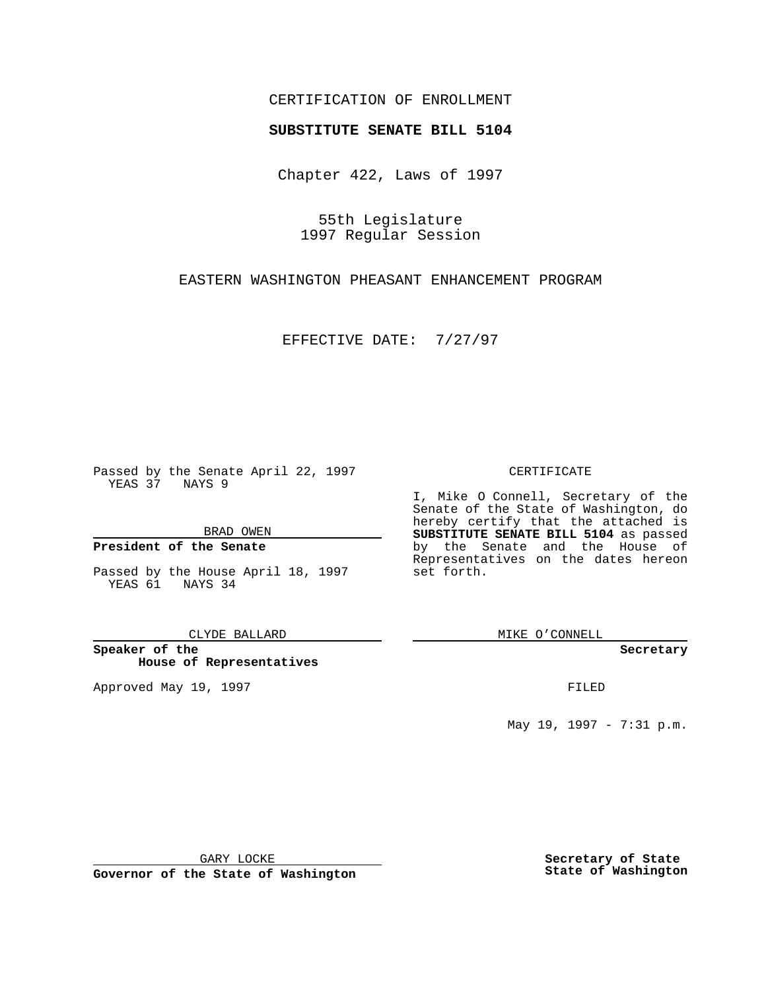## CERTIFICATION OF ENROLLMENT

# **SUBSTITUTE SENATE BILL 5104**

Chapter 422, Laws of 1997

55th Legislature 1997 Regular Session

EASTERN WASHINGTON PHEASANT ENHANCEMENT PROGRAM

EFFECTIVE DATE: 7/27/97

Passed by the Senate April 22, 1997 YEAS 37 NAYS 9

BRAD OWEN

### **President of the Senate**

Passed by the House April 18, 1997 YEAS 61 NAYS 34

CLYDE BALLARD

**Speaker of the House of Representatives**

Approved May 19, 1997 **FILED** 

### CERTIFICATE

I, Mike O Connell, Secretary of the Senate of the State of Washington, do hereby certify that the attached is **SUBSTITUTE SENATE BILL 5104** as passed by the Senate and the House of Representatives on the dates hereon set forth.

MIKE O'CONNELL

#### **Secretary**

May 19, 1997 - 7:31 p.m.

GARY LOCKE

**Governor of the State of Washington**

**Secretary of State State of Washington**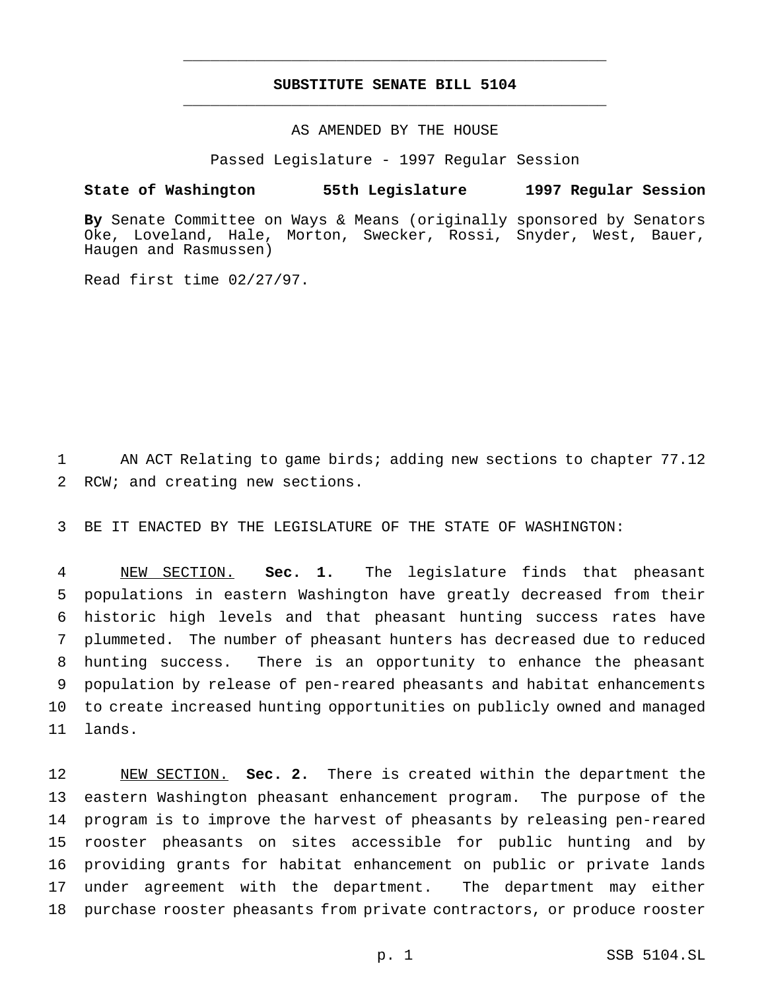# **SUBSTITUTE SENATE BILL 5104** \_\_\_\_\_\_\_\_\_\_\_\_\_\_\_\_\_\_\_\_\_\_\_\_\_\_\_\_\_\_\_\_\_\_\_\_\_\_\_\_\_\_\_\_\_\_\_

\_\_\_\_\_\_\_\_\_\_\_\_\_\_\_\_\_\_\_\_\_\_\_\_\_\_\_\_\_\_\_\_\_\_\_\_\_\_\_\_\_\_\_\_\_\_\_

## AS AMENDED BY THE HOUSE

Passed Legislature - 1997 Regular Session

### **State of Washington 55th Legislature 1997 Regular Session**

**By** Senate Committee on Ways & Means (originally sponsored by Senators Oke, Loveland, Hale, Morton, Swecker, Rossi, Snyder, West, Bauer, Haugen and Rasmussen)

Read first time 02/27/97.

 AN ACT Relating to game birds; adding new sections to chapter 77.12 RCW; and creating new sections.

BE IT ENACTED BY THE LEGISLATURE OF THE STATE OF WASHINGTON:

 NEW SECTION. **Sec. 1.** The legislature finds that pheasant populations in eastern Washington have greatly decreased from their historic high levels and that pheasant hunting success rates have plummeted. The number of pheasant hunters has decreased due to reduced hunting success. There is an opportunity to enhance the pheasant population by release of pen-reared pheasants and habitat enhancements to create increased hunting opportunities on publicly owned and managed lands.

 NEW SECTION. **Sec. 2.** There is created within the department the eastern Washington pheasant enhancement program. The purpose of the program is to improve the harvest of pheasants by releasing pen-reared rooster pheasants on sites accessible for public hunting and by providing grants for habitat enhancement on public or private lands under agreement with the department. The department may either purchase rooster pheasants from private contractors, or produce rooster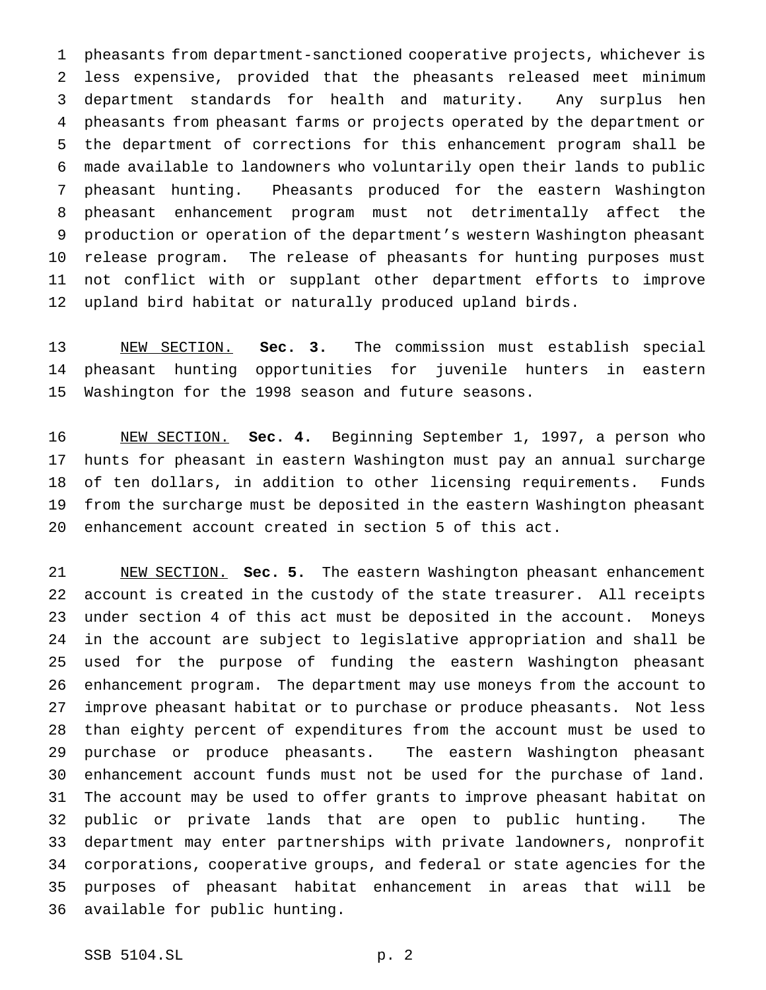pheasants from department-sanctioned cooperative projects, whichever is less expensive, provided that the pheasants released meet minimum department standards for health and maturity. Any surplus hen pheasants from pheasant farms or projects operated by the department or the department of corrections for this enhancement program shall be made available to landowners who voluntarily open their lands to public pheasant hunting. Pheasants produced for the eastern Washington pheasant enhancement program must not detrimentally affect the production or operation of the department's western Washington pheasant release program. The release of pheasants for hunting purposes must not conflict with or supplant other department efforts to improve upland bird habitat or naturally produced upland birds.

 NEW SECTION. **Sec. 3.** The commission must establish special pheasant hunting opportunities for juvenile hunters in eastern Washington for the 1998 season and future seasons.

 NEW SECTION. **Sec. 4.** Beginning September 1, 1997, a person who hunts for pheasant in eastern Washington must pay an annual surcharge of ten dollars, in addition to other licensing requirements. Funds from the surcharge must be deposited in the eastern Washington pheasant enhancement account created in section 5 of this act.

 NEW SECTION. **Sec. 5.** The eastern Washington pheasant enhancement account is created in the custody of the state treasurer. All receipts under section 4 of this act must be deposited in the account. Moneys in the account are subject to legislative appropriation and shall be used for the purpose of funding the eastern Washington pheasant enhancement program. The department may use moneys from the account to improve pheasant habitat or to purchase or produce pheasants. Not less than eighty percent of expenditures from the account must be used to purchase or produce pheasants. The eastern Washington pheasant enhancement account funds must not be used for the purchase of land. The account may be used to offer grants to improve pheasant habitat on public or private lands that are open to public hunting. The department may enter partnerships with private landowners, nonprofit corporations, cooperative groups, and federal or state agencies for the purposes of pheasant habitat enhancement in areas that will be available for public hunting.